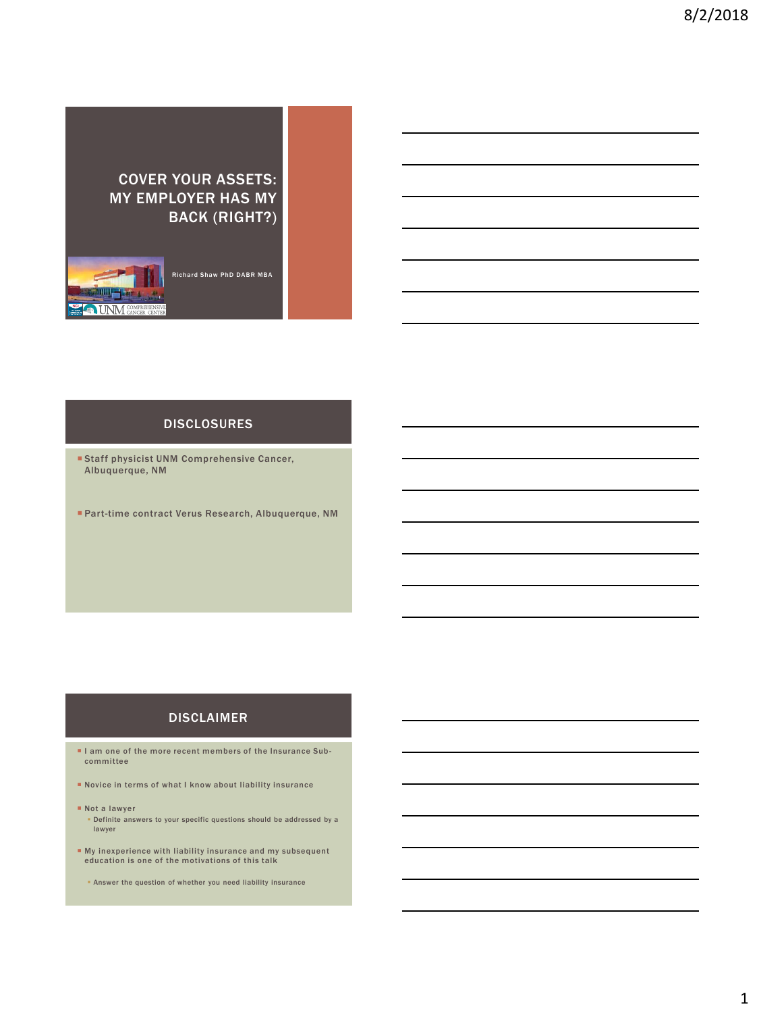# COVER YOUR ASSETS: MY EMPLOYER HAS MY BACK (RIGHT?)



Richard Shaw PhD DABR MBA

# DISCLOSURES

- **Staff physicist UNM Comprehensive Cancer,** Albuquerque, NM
- Part-time contract Verus Research, Albuquerque, NM

### DISCLAIMER

- I am one of the more recent members of the Insurance Subcommittee
- Novice in terms of what I know about liability insurance
- Not a lawyer
	- Definite answers to your specific questions should be addressed by a lawyer
- My inexperience with liability insurance and my subsequent education is one of the motivations of this talk
	- **Answer the question of whether you need liability insurance**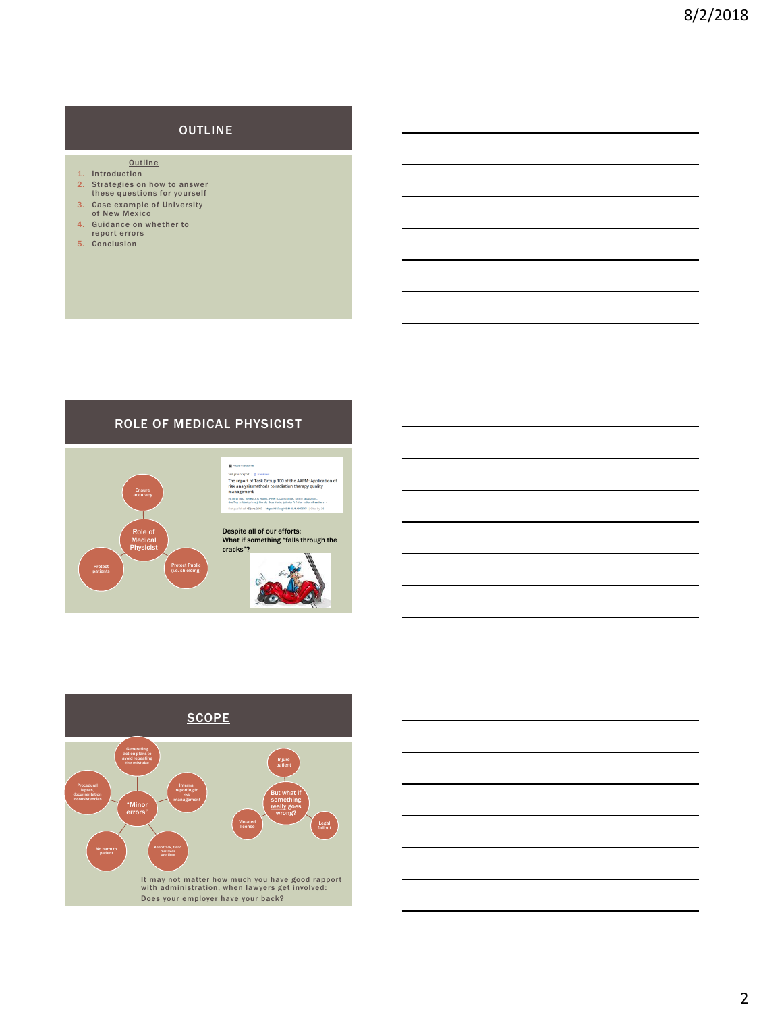# **OUTLINE**

- **Outline**
- 1. Introduction
- 2. Strategies on how to answer these questions for yourself
- 3. Case example of University of New Mexico
- 4. Guidance on whether to report errors
- 5. Conclusion

### ROLE OF MEDICAL PHYSICIST



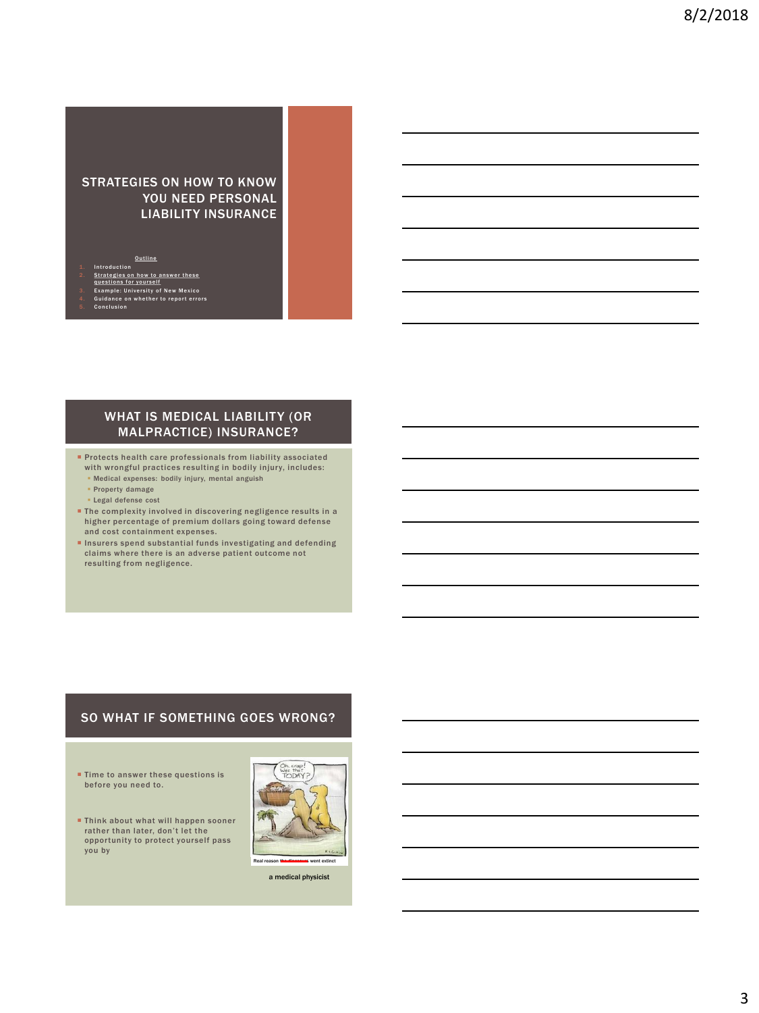#### STRATEGIES ON HOW TO KNOW YOU NEED PERSONAL LIABILITY INSURANCE

**Outline** 1. Introduction

- 
- 
- 2. Strategies on how to answer these<br>questions for yourself<br>3. Example: University of New Mexico<br>4. Guidance on whether to report errors
- Conclu

#### WHAT IS MEDICAL LIABILITY (OR MALPRACTICE) INSURANCE?

- **Protects health care professionals from liability associated** with wrongful practices resulting in bodily injury, includes:
	- Medical expenses: bodily injury, mental anguish
	- Property damage ▪ Legal defense cost
	-
- The complexity involved in discovering negligence results in a higher percentage of premium dollars going toward defense and cost containment expenses.
- **Insurers spend substantial funds investigating and defending** claims where there is an adverse patient outcome not resulting from negligence.

#### SO WHAT IF SOMETHING GOES WRONG?

- **Time to answer these questions is** before you need to.
- **Think about what will happen sooner** rather than later, don't let the opportunity to protect yourself pass you by



a medical physicist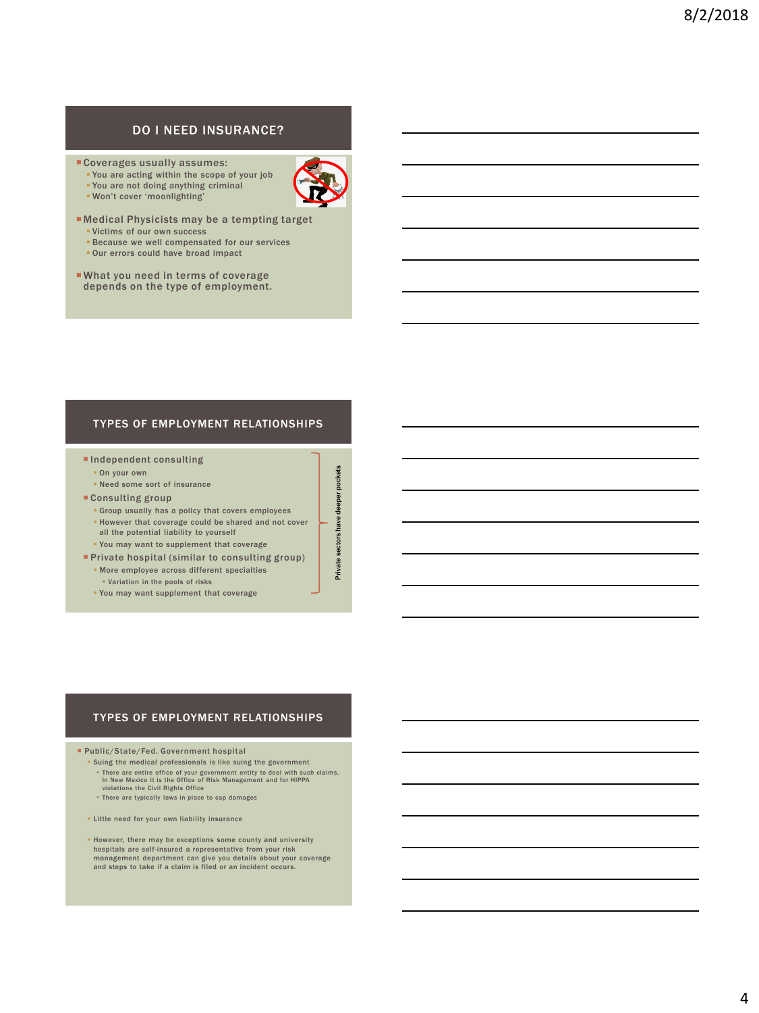### DO I NEED INSURANCE?

- Coverages usually assumes:
	- You are acting within the scope of your job
	- You are not doing anything criminal
	- Won't cover 'moonlighting'



- Medical Physicists may be a tempting target ▪ Victims of our own success
	- **Because we well compensated for our services**
	- **. Our errors could have broad impact**
- What you need in terms of coverage depends on the type of employment.

#### TYPES OF EMPLOYMENT RELATIONSHIPS

- **Independent consulting** 
	- On your own
- Need some sort of insurance
- Consulting group
	- Group usually has a policy that covers employees
	- However that coverage could be shared and not cover all the potential liability to yourself
	- You may want to supplement that coverage
- **Private hospital (similar to consulting group)** 
	- More employee across different specialties
	- Variation in the pools of risks
	- You may want supplement that coverage

#### TYPES OF EMPLOYMENT RELATIONSHIPS

Public/State/Fed. Government hospital

- Suing the medical professionals is like suing the government
- There are entire office of your government entity to deal with such claims. In New Mexico it is the Office of Risk Management and for HIPPA violations the Civil Rights Office
- There are typically laws in place to cap damages
- **ELittle need for your own liability insurance**
- However, there may be exceptions some county and university hospitals are self-insured a representative from your risk management department can give you details about your coverage and steps to take if a claim is filed or an incident occurs.



Private sectors have deeper pockets

sectors have deeper

Private s

pockets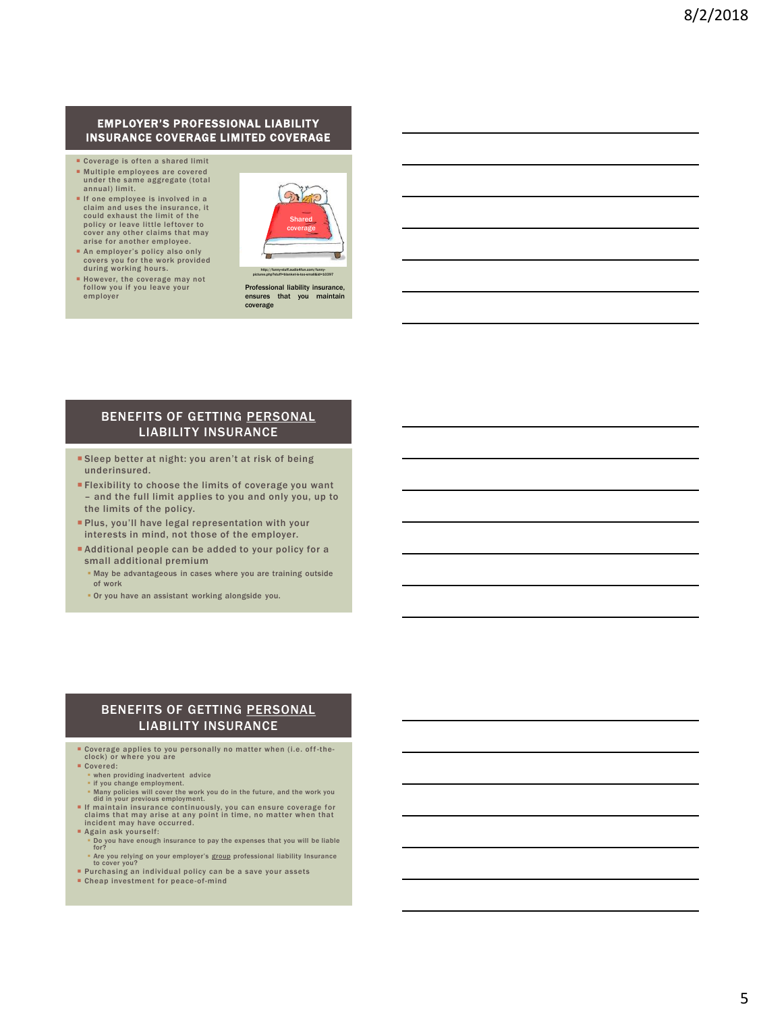#### EMPLOYER'S PROFESSIONAL LIABILITY INSURANCE COVERAGE LIMITED COVERAGE

- Coverage is often a shared limit
- Multiple employees are covered under the same aggregate (total annual) limit.
- If one employee is involved in a claim and uses the insurance, it could exhaust the limit of the policy or leave little leftover to cover any other claims that may arise for another employee.



 However, the coverage may not follow you if you leave your employer

during working hours.

Professional liability insurance, ensures that you maintain coverage

#### BENEFITS OF GETTING PERSONAL LIABILITY INSURANCE

- Sleep better at night: you aren't at risk of being underinsured.
- Flexibility to choose the limits of coverage you want – and the full limit applies to you and only you, up to the limits of the policy.
- **Plus, you'll have legal representation with your** interests in mind, not those of the employer.
- Additional people can be added to your policy for a small additional premium
	- **May be advantageous in cases where you are training outside** of work
	- **Or you have an assistant working alongside you.**

#### BENEFITS OF GETTING PERSONAL LIABILITY INSURANCE

- Coverage applies to you personally no matter when (i.e. off -the-clock) or where you are
- Covered:
	- **when providing inadvertent advice**<br>• if you change employment.
	-
	- Many policies will cover the work you do in the future, and the work you did in your previous employment.
- If maintain insurance continuously, you can ensure coverage for claims that may arise at any point in time, no matter when that incident may have occurred.
- Again ask yourself:
	- Do you have enough insurance to pay the expenses that you will be liable for?
- **Example 1** Are you relying on your employer's group professional liability Insurance to cover you? Purchasing an individual policy can be a save your assets
- **Cheap investment for peace-of-mind**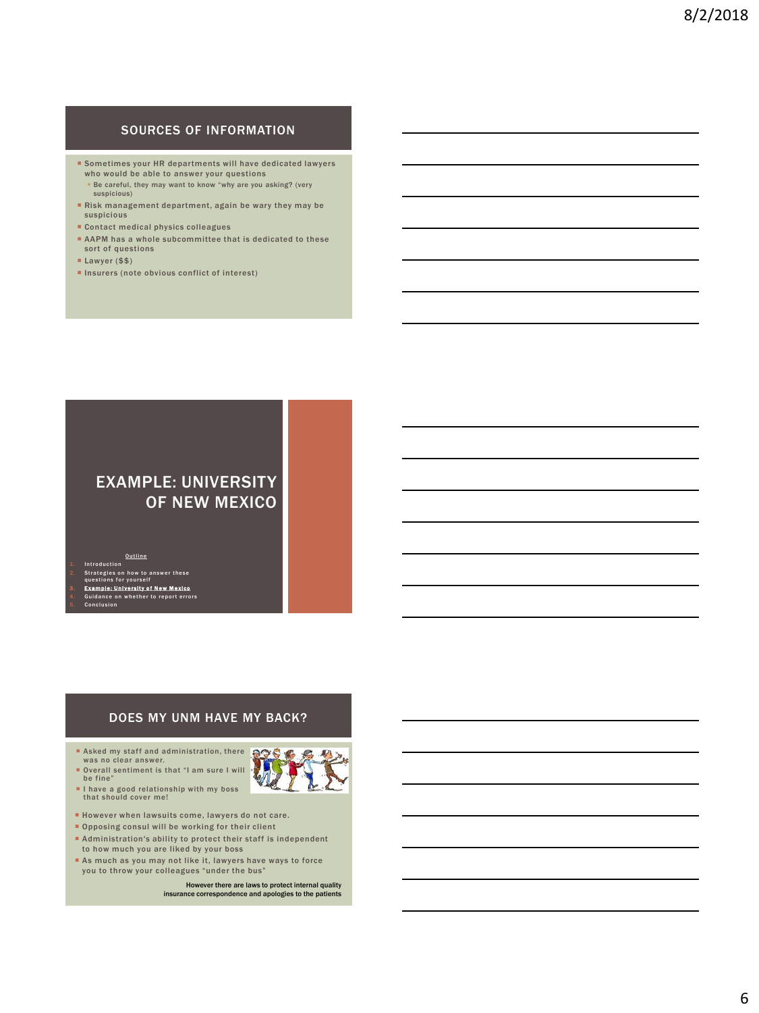## SOURCES OF INFORMATION

- Sometimes your HR departments will have dedicated lawyers who would be able to answer your questions **Be careful, they may want to know "why are you asking? (very**
- suspicious) Risk management department, again be wary they may be
- suspicious
- Contact medical physics colleagues
- AAPM has a whole subcommittee that is dedicated to these sort of questions
- Lawyer (\$\$)
- $\blacksquare$ Insurers (note obvious conflict of interest)

# EXAMPLE: UNIVERSITY OF NEW MEXICO

**Outline Introduction** 2. Strategies on how to answer these<br>questions for yourself<br>3. Example: University of New Mexico<br>4. Guidance on whether to report errors

.<br>sion

#### DOES MY UNM HAVE MY BACK?

- Asked my staff and administration, there was no clear answer.
- Overall sentiment is that "I am sure I will be fine"
- I have a good relationship with my boss<br>that should cover me!
- However when lawsuits come, lawyers do not care.
- **Opposing consul will be working for their client**
- Administration's ability to protect their staff is independent to how much you are liked by your boss
- As much as you may not like it, lawyers have ways to force you to throw your colleagues "under the bus"

However there are laws to protect internal quality insurance correspondence and apologies to the patients

₹

**8996.60**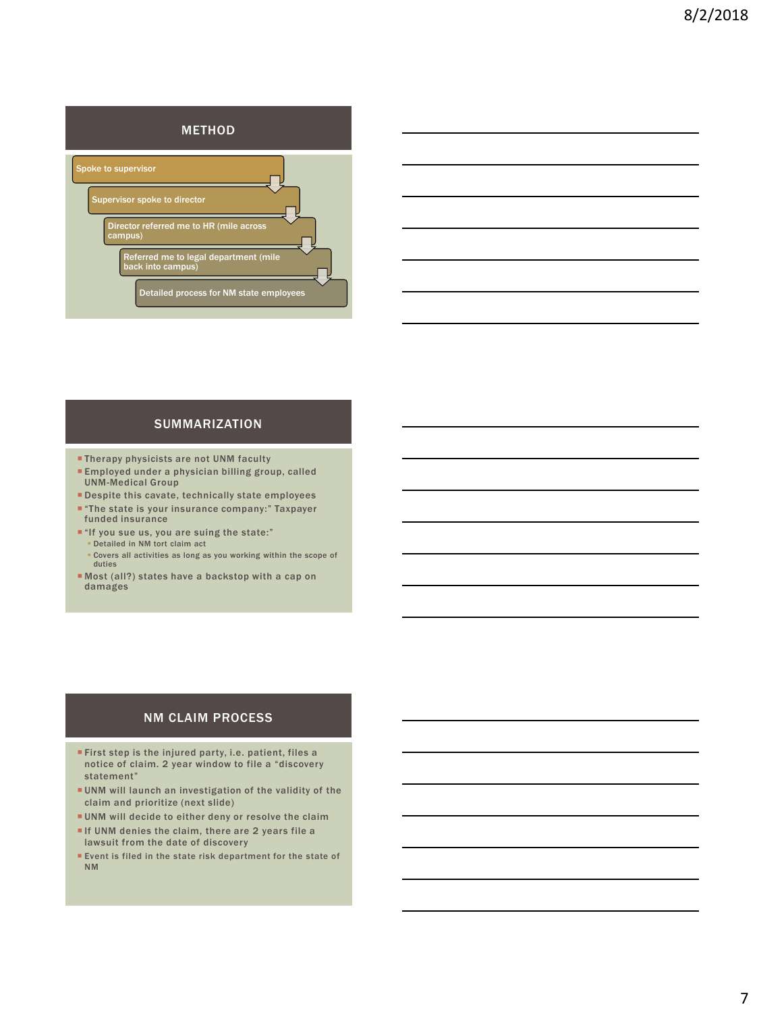

#### SUMMARIZATION

- **Therapy physicists are not UNM faculty**
- Employed under a physician billing group, called UNM-Medical Group
- Despite this cavate, technically state employees
- "The state is your insurance company:" Taxpayer funded insurance
- "If you sue us, you are suing the state:" ▪ Detailed in NM tort claim act
	- Covers all activities as long as you working within the scope of duties
- Most (all?) states have a backstop with a cap on damages

#### NM CLAIM PROCESS

- First step is the injured party, i.e. patient, files a notice of claim. 2 year window to file a "discovery statement"
- UNM will launch an investigation of the validity of the claim and prioritize (next slide)
- UNM will decide to either deny or resolve the claim
- If UNM denies the claim, there are 2 years file a lawsuit from the date of discovery
- **Event is filed in the state risk department for the state of** NM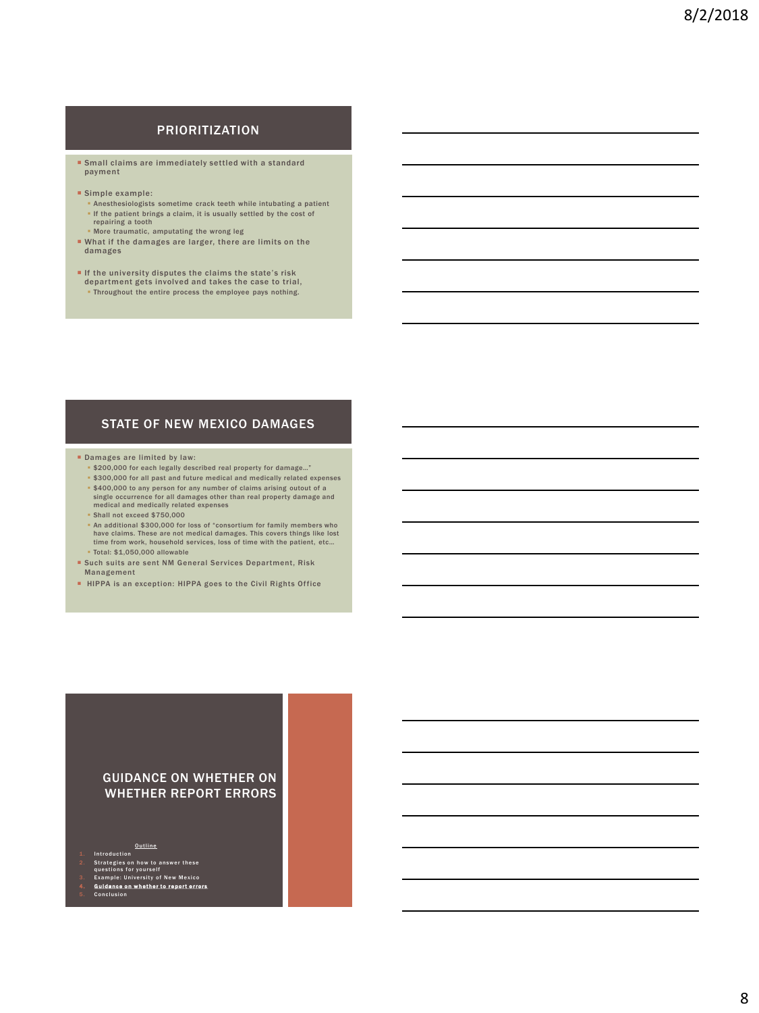#### PRIORITIZATION

- **Small claims are immediately settled with a standard** payment
- Simple example:
	- **Anesthesiologists sometime crack teeth while intubating a patient .** If the patient brings a claim, it is usually settled by the cost of
	- repairing a tooth
	- More traumatic, amputating the wrong leg
- What if the damages are larger, there are limits on the damages
- If the university disputes the claims the state's risk department gets involved and takes the case to trial, ▪ Throughout the entire process the employee pays nothing.

#### STATE OF NEW MEXICO DAMAGES

- Damages are limited by law:
	- \$200,000 for each legally described real property for damage…" ▪ \$300,000 for all past and future medical and medically related expenses
- \$400,000 to any person for any number of claims arising outout of a single occurrence for all damages other than real property damage and medical and medically related expenses
- Shall not exceed \$750,000
- An additional \$300,000 for loss of "consortium for family members who have claims. These are not medical damages. This covers things like lost time from work, household services, loss of time with the patient, etc… ▪ Total: \$1,050,000 allowable
- Such suits are sent NM General Services Department, Risk Management
- HIPPA is an exception: HIPPA goes to the Civil Rights Office

#### GUIDANCE ON WHETHER ON WHETHER REPORT ERRORS

- 
- 
- 
- <u>Outline<br>2. Strategies on how to answer these</u><br>2. Strategies on yourself<br>3. Example: University of New Mexico<br>4. Quidance on whether to report errors<br>5. Conclusion
-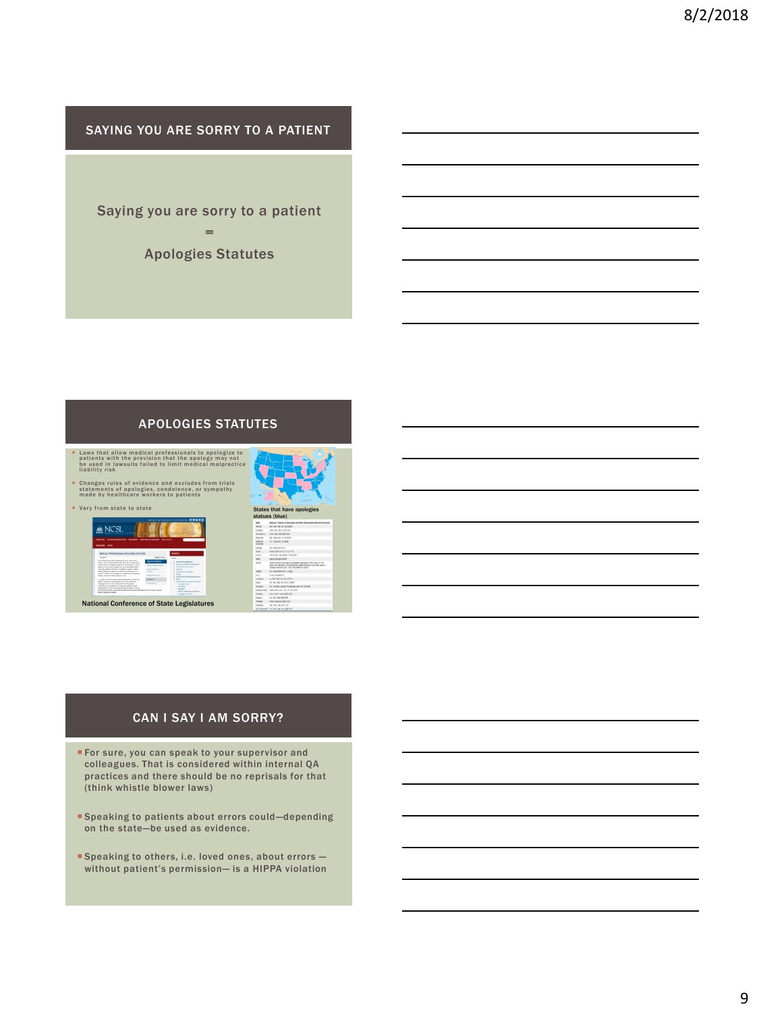SAYING YOU ARE SORRY TO A PATIENT

Saying you are sorry to a patient =

Apologies Statutes

# APOLOGIES STATUTES

- **Example 1** Laws that allow medical professionals to apologize to patients with the provision that the apology may not be used in lawsuits failed to limit medical malpractice liability risk
- C hang es rules of evidence and excludes from trials statem ents of apolog ies, condolence, or sym pathy m ade by healthcare w orkers to patients



# $M$  NCSL **LECTION** Ξ

National Conference of State Legislatures



# CAN I SAY I AM SORRY?

- **For sure, you can speak to your supervisor and** colleagues. That is considered within internal QA practices and there should be no reprisals for that (think whistle blower laws)
- Speaking to patients about errors could—depending on the state—be used as evidence.
- Speaking to others, i.e. loved ones, about errors without patient's permission— is a HIPPA violation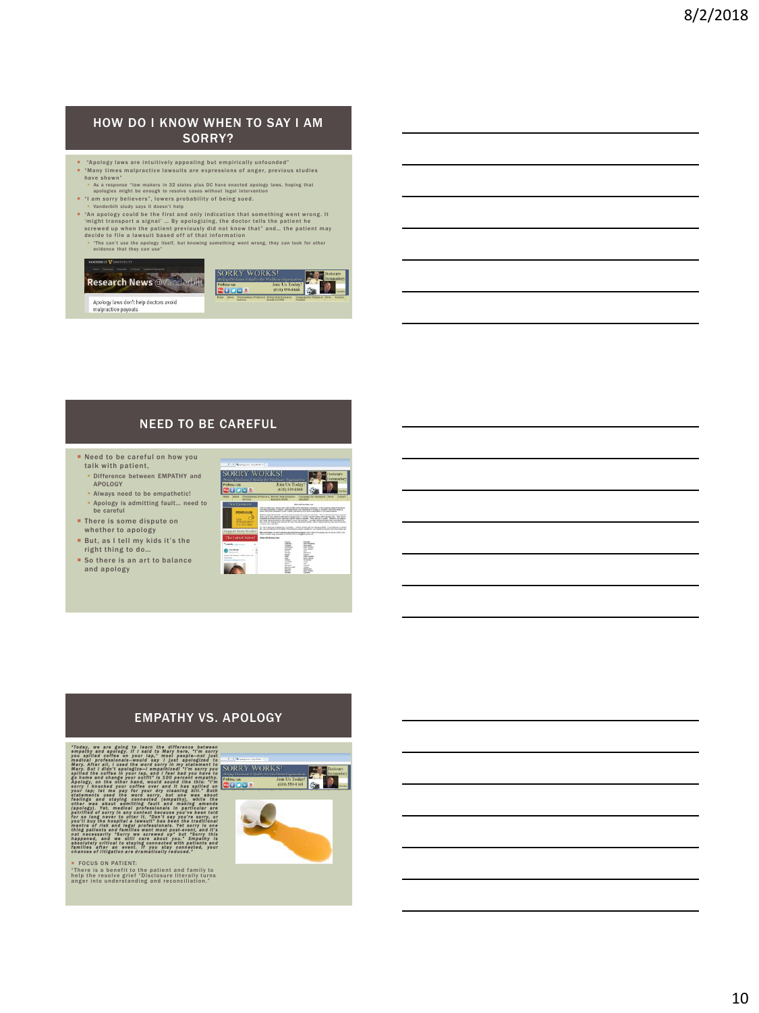#### HOW DO I KNOW WHEN TO SAY I AM SORRY?

- 
- 
- \* Apology laws are intuitively appealing but empirically unfounded"<br>\* Many times malpractice lawsuits are expressions of anger, previous studies<br>have shown"<br>^ As response law makers in 32 states plus DC have enacted apolog
- 
- \* \* An apology could be the first and only indication that something went wrong. It 'might transport a signal' ... By apologizing, the doctor tells the patient he<br>screwed up when the patient previously did not know that' and... the patient may<br>decide to file a lawsuit based off of that information<br>• The c
	-



# NEED TO BE CAREFUL

- **Need to be careful on how you** talk with patient,
	- **Difference between EMPATHY and** APOLOGY
- Always need to be empathetic!
- Apology is admitting fault… need to be careful **There is some dispute on**
- whether to apology **But, as I tell my kids it's the**
- right thing to do…
- So there is an art to balance and apology

| (P. T. D.). Re derrog/cars / Suite Padol 11                                                                                                                                                          |                                                                                                                                                                                                                                                                                                                                                                                                                                                                                                                                                                                                                                                                                                                                                                                                                                                                                                                                                                                                                                                                                                                                                                                                                                                                                                                                                                                                                                                                                                                                         |                                                                                                                                                                  |
|------------------------------------------------------------------------------------------------------------------------------------------------------------------------------------------------------|-----------------------------------------------------------------------------------------------------------------------------------------------------------------------------------------------------------------------------------------------------------------------------------------------------------------------------------------------------------------------------------------------------------------------------------------------------------------------------------------------------------------------------------------------------------------------------------------------------------------------------------------------------------------------------------------------------------------------------------------------------------------------------------------------------------------------------------------------------------------------------------------------------------------------------------------------------------------------------------------------------------------------------------------------------------------------------------------------------------------------------------------------------------------------------------------------------------------------------------------------------------------------------------------------------------------------------------------------------------------------------------------------------------------------------------------------------------------------------------------------------------------------------------------|------------------------------------------------------------------------------------------------------------------------------------------------------------------|
| RRY WORKS!<br>of Others's<br>Followa us<br>Dia A                                                                                                                                                     | are it won'ry the final from themuseum<br>Join Us Today!<br>(618) 559-8168                                                                                                                                                                                                                                                                                                                                                                                                                                                                                                                                                                                                                                                                                                                                                                                                                                                                                                                                                                                                                                                                                                                                                                                                                                                                                                                                                                                                                                                              | Tischoors<br><b>Documentary</b>                                                                                                                                  |
| Computes For Federick<br>Provenience, Products & Roberts Stew Loomers's<br><b>Elizabeth</b><br>March<br><b>Contact</b><br><b>Juneda &amp; NFOR</b><br><b>Tem Bax</b><br><b><i><u>Greyway</u></i></b> |                                                                                                                                                                                                                                                                                                                                                                                                                                                                                                                                                                                                                                                                                                                                                                                                                                                                                                                                                                                                                                                                                                                                                                                                                                                                                                                                                                                                                                                                                                                                         |                                                                                                                                                                  |
| <b>Our Nuonsers</b><br>PENDULUM<br><b>MAKAGEMENT</b><br>in a claim and a<br>innoort Sorry Works!<br>The Latest Novell<br>Tuesta - Ave<br><b>SILVERED</b>                                             | <b>TRANS ART PRODUCT TANK</b><br>Tells an other than "starkey hard" which crosted a prior industrials, assistances, or other assistance appeal to the structure<br>full between more a system that make leady your exception standards of books, who a big and as<br>before and stated additionally of lays. Lodge is and address to a concentration of a construction or<br>Research American Australia Transferred and participation and the trace of the Constitution of any article<br>A Re Units was detected a constitute of polymer in simply applies interesting cash. This disciple<br>formally a completed and other in form the price in color of the control of history. The control is a subject<br>als sign basic between subscriptions were becomed in counsel above proportion consideration<br>the term of works who showed to be a straight for data. We have a straight throw on the rate to contact<br>of lasty million control at-<br>for a structure to state to an investment - contact to an allowable after a firm interior or with<br>We can mint attempt a fee interest for discharge program completion can make be interested that the spotse two<br>Not substantial problem dealers was disclosed planned and or affective sense the tensor fundations.<br>Parks Pareller Dog Kan plant at 113.124.010 at thoughout youths an<br><b>Bride anti-Austria Links</b><br>The Contract of the Con-<br><b>Mariana</b><br><b>WA TATION IS</b><br><b>Sea Marie</b><br><b>Staff Facilities</b><br><b>Carl Falco</b> |                                                                                                                                                                  |
| $\sim$<br>house to European a boundary with<br><b>Reprinting</b>                                                                                                                                     | $-$<br><b>CARAGE !</b><br>-<br>$rac{1}{2}$<br><b>Bandalo AVI</b><br>---<br>-<br>--                                                                                                                                                                                                                                                                                                                                                                                                                                                                                                                                                                                                                                                                                                                                                                                                                                                                                                                                                                                                                                                                                                                                                                                                                                                                                                                                                                                                                                                      | ⋍<br><b>Side and</b><br><b>Sales</b><br><b>Golf Candre</b><br><b>SAGE</b><br><b>CONTRACTOR</b><br>$-1$<br>⋍<br>Sen of<br>-<br>minian<br>we have<br><b>Daniel</b> |

# EMPATHY VS. APOLOGY

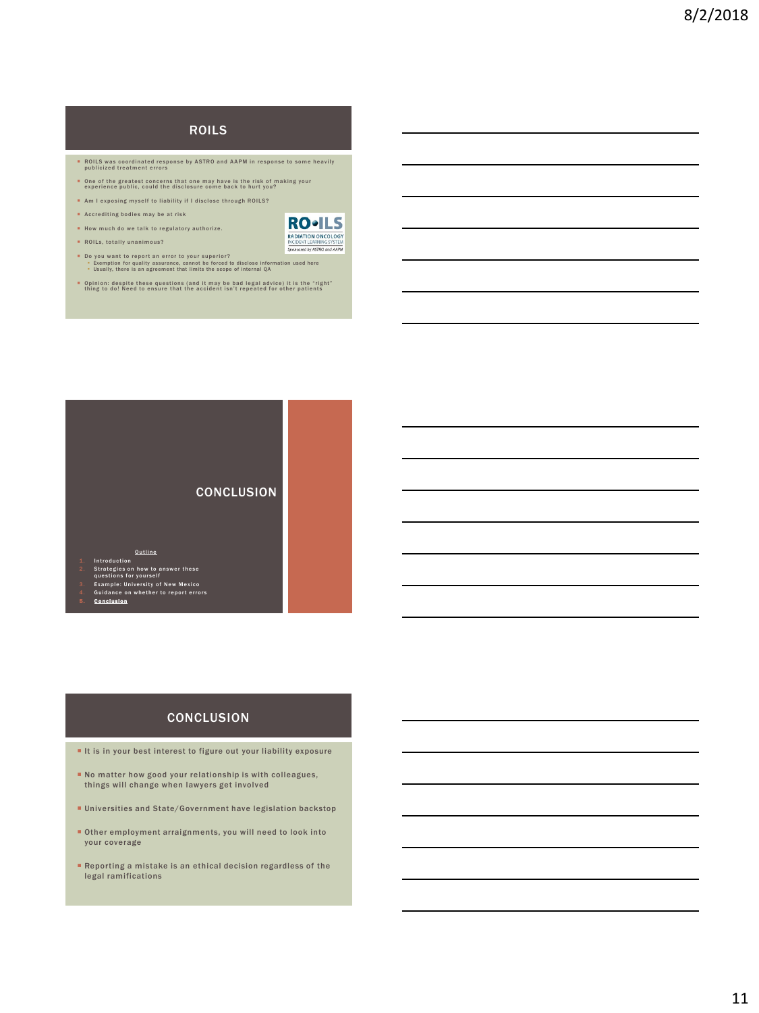# ROILS

- **B** ROILS was coordinated response by ASTRO and AAPM in response to some heavily publicized treatment errors
- **De of the greatest concerns that one may have is the risk of making your** experience public, could the disclosure come back to hurt you?
- \* Am I exposing myself to liability if I disclose through ROILS?
- **A** Accrediting bodies may be at risk
- How much do we talk to regulatory authorize.
- $\blacksquare$  ROILs, totally unanimous?



- **D**o you want to report an error to your superior?<br>• Exemption for quality assurance, cannot be forced to disclose information used here<br>• Usually, there is an agreement that limits the scope of internal QA
- **Detailly 1** Opinion: despite these questions (and it may be bad legal advice) it is the "right"<br>thing to do! Need to ensure that the accident isn't repeated for other patients



- 
- 
- <u>Outline<br>2.</u> Strategies on how to answer these<br>2. Strategies on yourself<br>3. Example: University of New Mexico<br>3. Example: University of New Mexico<br>4. Guidance on whether to report errors<br>5. Conclusion
- 

#### **CONCLUSION**

- It is in your best interest to figure out your liability exposure
- No matter how good your relationship is with colleagues, things will change when lawyers get involved
- Universities and State/Government have legislation backstop
- Other employment arraignments, you will need to look into your coverage
- Reporting a mistake is an ethical decision regardless of the legal ramifications